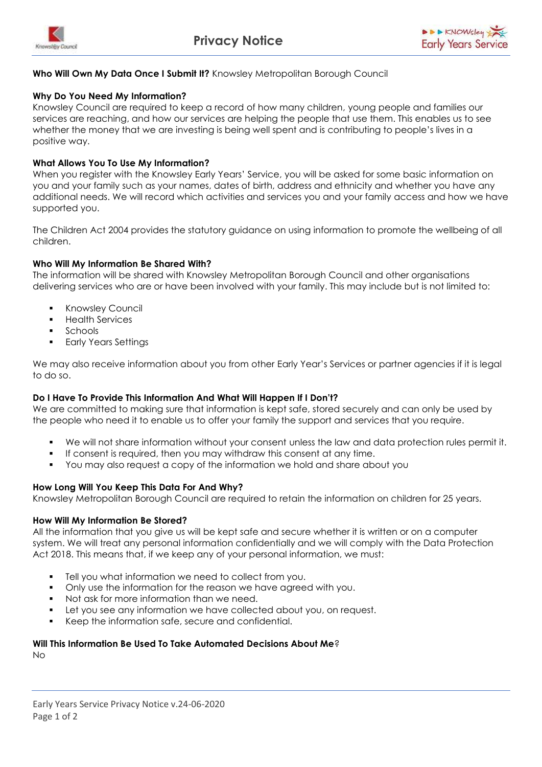



## **Who Will Own My Data Once I Submit It?** Knowsley Metropolitan Borough Council

#### **Why Do You Need My Information?**

Knowsley Council are required to keep a record of how many children, young people and families our services are reaching, and how our services are helping the people that use them. This enables us to see whether the money that we are investing is being well spent and is contributing to people's lives in a positive way.

#### **What Allows You To Use My Information?**

When you register with the Knowsley Early Years' Service, you will be asked for some basic information on you and your family such as your names, dates of birth, address and ethnicity and whether you have any additional needs. We will record which activities and services you and your family access and how we have supported you.

The Children Act 2004 provides the statutory guidance on using information to promote the wellbeing of all children.

#### **Who Will My Information Be Shared With?**

The information will be shared with Knowsley Metropolitan Borough Council and other organisations delivering services who are or have been involved with your family. This may include but is not limited to:

- Knowsley Council
- Health Services
- Schools
- Early Years Settings

We may also receive information about you from other Early Year's Services or partner agencies if it is legal to do so.

#### **Do I Have To Provide This Information And What Will Happen If I Don't?**

We are committed to making sure that information is kept safe, stored securely and can only be used by the people who need it to enable us to offer your family the support and services that you require.

- We will not share information without your consent unless the law and data protection rules permit it.
- If consent is required, then you may withdraw this consent at any time.
- You may also request a copy of the information we hold and share about you

#### **How Long Will You Keep This Data For And Why?**

Knowsley Metropolitan Borough Council are required to retain the information on children for 25 years.

#### **How Will My Information Be Stored?**

All the information that you give us will be kept safe and secure whether it is written or on a computer system. We will treat any personal information confidentially and we will comply with the Data Protection Act 2018. This means that, if we keep any of your personal information, we must:

- Tell you what information we need to collect from you.
- Only use the information for the reason we have agreed with you.
- Not ask for more information than we need.
- Let you see any information we have collected about you, on request.
- Keep the information safe, secure and confidential.

## **Will This Information Be Used To Take Automated Decisions About Me**?

No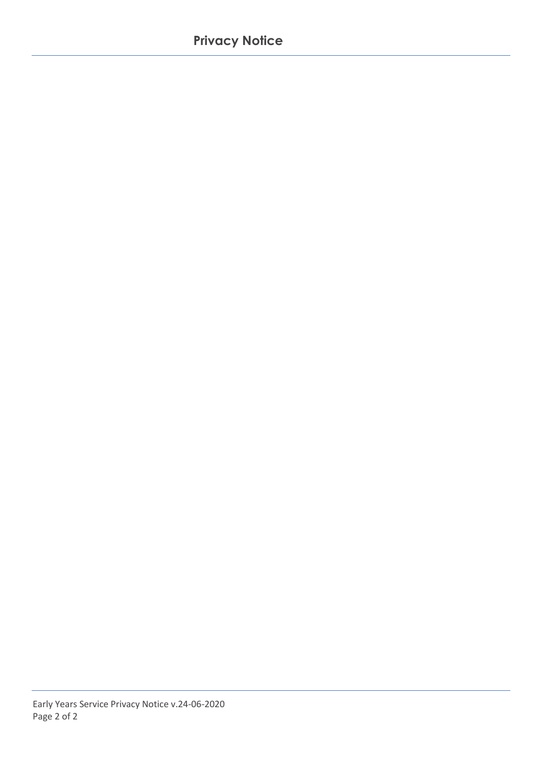# **Privacy Notice**